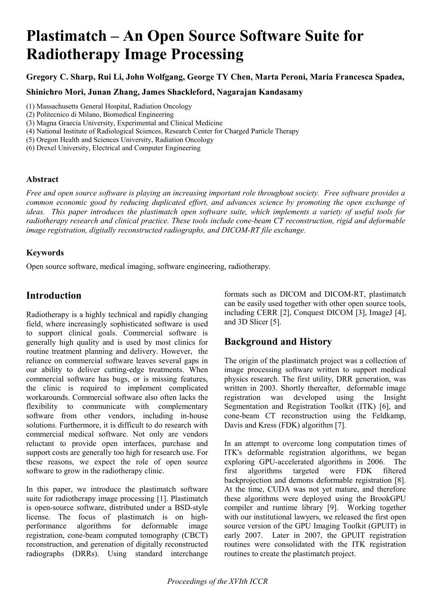# **Plastimatch – An Open Source Software Suite for Radiotherapy Image Processing**

**Gregory C. Sharp, Rui Li, John Wolfgang, George TY Chen, Marta Peroni, Maria Francesca Spadea,** 

**Shinichro Mori, Junan Zhang, James Shackleford, Nagarajan Kandasamy**

- (1) Massachusetts General Hospital, Radiation Oncology
- (2) Politecnico di Milano, Biomedical Engineering
- (3) Magna Graecia University, Experimental and Clinical Medicine
- (4) National Institute of Radiological Sciences, Research Center for Charged Particle Therapy
- (5) Oregon Health and Sciences University, Radiation Oncology
- (6) Drexel University, Electrical and Computer Engineering

#### **Abstract**

*Free and open source software is playing an increasing important role throughout society. Free software provides a common economic good by reducing duplicated effort, and advances science by promoting the open exchange of ideas. This paper introduces the plastimatch open software suite, which implements a variety of useful tools for radiotherapy research and clinical practice. These tools include cone-beam CT reconstruction, rigid and deformable image registration, digitally reconstructed radiographs, and DICOM-RT file exchange.*

### **Keywords**

Open source software, medical imaging, software engineering, radiotherapy.

# **Introduction**

Radiotherapy is a highly technical and rapidly changing field, where increasingly sophisticated software is used to support clinical goals. Commercial software is generally high quality and is used by most clinics for routine treatment planning and delivery. However, the reliance on commercial software leaves several gaps in our ability to deliver cutting-edge treatments. When commercial software has bugs, or is missing features, the clinic is required to implement complicated workarounds. Commercial software also often lacks the flexibility to communicate with complementary software from other vendors, including in-house solutions. Furthermore, it is difficult to do research with commercial medical software. Not only are vendors reluctant to provide open interfaces, purchase and support costs are generally too high for research use. For these reasons, we expect the role of open source software to grow in the radiotherapy clinic.

In this paper, we introduce the plastimatch software suite for radiotherapy image processing [1]. Plastimatch is open-source software, distributed under a BSD-style license. The focus of plastimatch is on highperformance algorithms for deformable image registration, cone-beam computed tomography (CBCT) reconstruction, and gerenation of digitally reconstructed radiographs (DRRs). Using standard interchange

formats such as DICOM and DICOM-RT, plastimatch can be easily used together with other open source tools, including CERR [2], Conquest DICOM [3], ImageJ [4], and 3D Slicer [5].

# **Background and History**

The origin of the plastimatch project was a collection of image processing software written to support medical physics research. The first utility, DRR generation, was written in 2003. Shortly thereafter, deformable image registration was developed using the Insight Segmentation and Registration Toolkit (ITK) [6], and cone-beam CT reconstruction using the Feldkamp, Davis and Kress (FDK) algorithm [7].

In an attempt to overcome long computation times of ITK's deformable registration algorithms, we began exploring GPU-accelerated algorithms in 2006. The first algorithms targeted were FDK filtered backprojection and demons deformable registration [8]. At the time, CUDA was not yet mature, and therefore these algorithms were deployed using the BrookGPU compiler and runtime library [9]. Working together with our institutional lawyers, we released the first open source version of the GPU Imaging Toolkit (GPUIT) in early 2007. Later in 2007, the GPUIT registration routines were consolidated with the ITK registration routines to create the plastimatch project.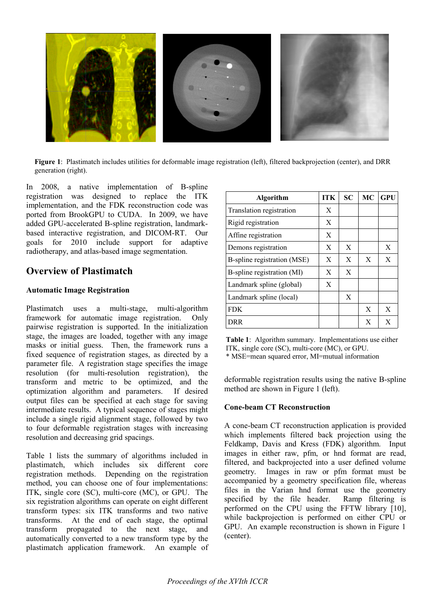

Figure 1: Plastimatch includes utilities for deformable image registration (left), filtered backprojection (center), and DRR generation (right).

In 2008, a native implementation of B-spline registration was designed to replace the ITK implementation, and the FDK reconstruction code was ported from BrookGPU to CUDA. In 2009, we have added GPU-accelerated B-spline registration, landmarkbased interactive registration, and DICOM-RT. Our goals for 2010 include support for adaptive radiotherapy, and atlas-based image segmentation.

## **Overview of Plastimatch**

#### **Automatic Image Registration**

Plastimatch uses a multi-stage, multi-algorithm framework for automatic image registration. Only pairwise registration is supported. In the initialization stage, the images are loaded, together with any image masks or initial guess. Then, the framework runs a fixed sequence of registration stages, as directed by a parameter file. A registration stage specifies the image resolution (for multi-resolution registration), the transform and metric to be optimized, and the optimization algorithm and parameters. If desired output files can be specified at each stage for saving intermediate results. A typical sequence of stages might include a single rigid alignment stage, followed by two to four deformable registration stages with increasing resolution and decreasing grid spacings.

Table 1 lists the summary of algorithms included in plastimatch, which includes six different core registration methods. Depending on the registration method, you can choose one of four implementations: ITK, single core (SC), multi-core (MC), or GPU. The six registration algorithms can operate on eight different transform types: six ITK transforms and two native transforms. At the end of each stage, the optimal transform propagated to the next stage, and automatically converted to a new transform type by the plastimatch application framework. An example of

| Algorithm                   | <b>ITK</b> | <b>SC</b> | <b>MC</b>    | <b>GPU</b> |
|-----------------------------|------------|-----------|--------------|------------|
| Translation registration    | X          |           |              |            |
| Rigid registration          | X          |           |              |            |
| Affine registration         | X          |           |              |            |
| Demons registration         | X          | X         |              | X          |
| B-spline registration (MSE) | X          | X         | $\mathbf{X}$ | X          |
| B-spline registration (MI)  | X          | X         |              |            |
| Landmark spline (global)    | X          |           |              |            |
| Landmark spline (local)     |            | X         |              |            |
| <b>FDK</b>                  |            |           | X            | X          |
| DRR                         |            |           | X            | X          |

**Table 1**: Algorithm summary. Implementations use either ITK, single core (SC), multi-core (MC), or GPU. \* MSE=mean squared error, MI=mutual information

deformable registration results using the native B-spline method are shown in Figure 1 (left).

#### **Cone-beam CT Reconstruction**

A cone-beam CT reconstruction application is provided which implements filtered back projection using the Feldkamp, Davis and Kress (FDK) algorithm. Input images in either raw, pfm, or hnd format are read, filtered, and backprojected into a user defined volume geometry. Images in raw or pfm format must be accompanied by a geometry specification file, whereas files in the Varian hnd format use the geometry specified by the file header. Ramp filtering is performed on the CPU using the FFTW library [10], while backprojection is performed on either CPU or GPU. An example reconstruction is shown in Figure 1 (center).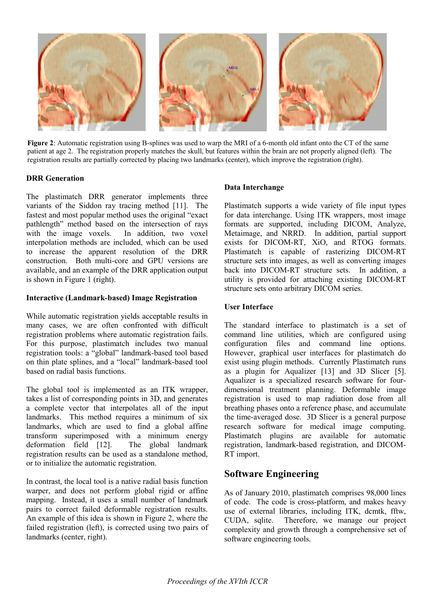

**Figure 2**: Automatic registration using B-splines was used to warp the MRI of a 6-month old infant onto the CT of the same patient at age 2. The registration properly matches the skull, but features within the brain are not properly aligned (left). The registration results are partially corrected by placing two landmarks (center), which improve the registration (right).

#### **DRR Generation**

The plastimatch DRR generator implements three variants of the Siddon ray tracing method [11]. The fastest and most popular method uses the original "exact pathlength" method based on the intersection of rays with the image voxels. In addition, two voxel interpolation methods are included, which can be used to increase the apparent resolution of the DRR construction. Both multi-core and GPU versions are available, and an example of the DRR application output is shown in Figure 1 (right).

#### **Interactive (Landmark-based) Image Registration**

While automatic registration yields acceptable results in many cases, we are often confronted with difficult registration problems where automatic registration fails. For this purpose, plastimatch includes two manual registration tools: a "global" landmark-based tool based on thin plate splines, and a "local" landmark-based tool based on radial basis functions.

The global tool is implemented as an ITK wrapper, takes a list of corresponding points in 3D, and generates a complete vector that interpolates all of the input landmarks. This method requires a minimum of six landmarks, which are used to find a global affine transform superimposed with a minimum energy deformation field [12]. The global landmark registration results can be used as a standalone method, or to initialize the automatic registration.

In contrast, the local tool is a native radial basis function warper, and does not perform global rigid or affine mapping. Instead, it uses a small number of landmark pairs to correct failed deformable registration results. An example of this idea is shown in Figure 2, where the failed registration (left), is corrected using two pairs of landmarks (center, right).

#### **Data Interchange**

Plastimatch supports a wide variety of file input types for data interchange. Using ITK wrappers, most image formats are supported, including DICOM, Analyze, Metaimage, and NRRD. In addition, partial support exists for DICOM-RT, XiO, and RTOG formats. Plastimatch is capable of rasterizing DICOM-RT structure sets into images, as well as converting images back into DICOM-RT structure sets. In addition, a utility is provided for attaching existing DICOM-RT structure sets onto arbitrary DICOM series.

#### **User Interface**

The standard interface to plastimatch is a set of command line utilities, which are configured using configuration files and command line options. However, graphical user interfaces for plastimatch do exist using plugin methods. Currently Plastimatch runs as a plugin for Aqualizer [13] and 3D Slicer [5]. Aqualizer is a specialized research software for fourdimensional treatment planning. Deformable image registration is used to map radiation dose from all breathing phases onto a reference phase, and accumulate the time-averaged dose. 3D Slicer is a general purpose research software for medical image computing. Plastimatch plugins are available for automatic registration, landmark-based registration, and DICOM-RT import.

## **Software Engineering**

As of January 2010, plastimatch comprises 98,000 lines of code. The code is cross-platform, and makes heavy use of external libraries, including ITK, dcmtk, fftw, CUDA, sqlite. Therefore, we manage our project complexity and growth through a comprehensive set of software engineering tools.